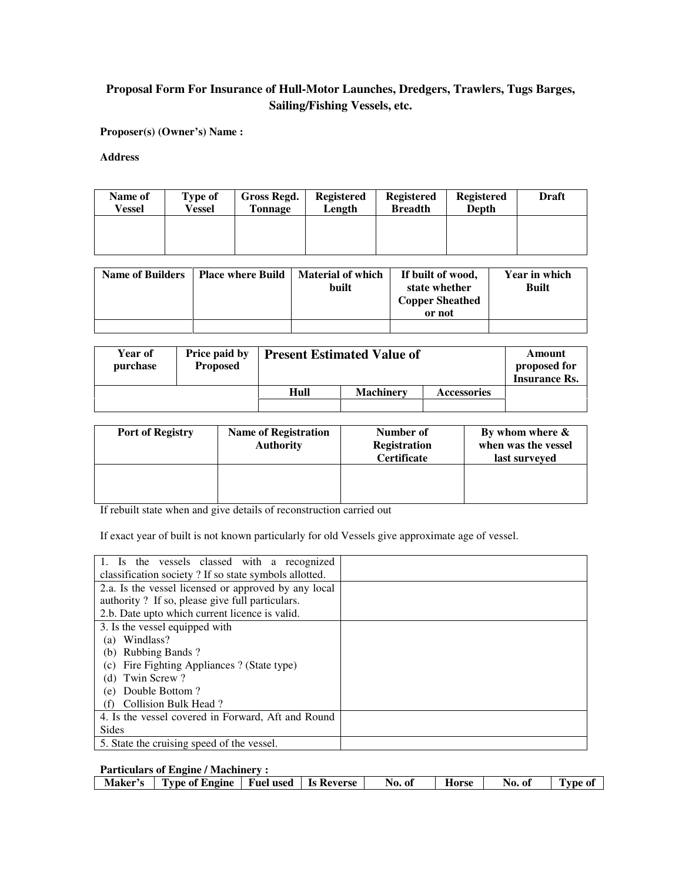# **Proposal Form For Insurance of Hull-Motor Launches, Dredgers, Trawlers, Tugs Barges, Sailing/Fishing Vessels, etc.**

**Proposer(s) (Owner's) Name :** 

**Address** 

| Name of<br>Vessel | Type of<br>Vessel | Gross Regd.<br><b>Tonnage</b> | <b>Registered</b><br>Length | <b>Registered</b><br><b>Breadth</b> | <b>Registered</b><br>Depth | Draft |
|-------------------|-------------------|-------------------------------|-----------------------------|-------------------------------------|----------------------------|-------|
|                   |                   |                               |                             |                                     |                            |       |
|                   |                   |                               |                             |                                     |                            |       |

| <b>Name of Builders</b> | Place where Build | <b>Material of which</b><br>built | If built of wood,<br>state whether<br><b>Copper Sheathed</b><br>or not | Year in which<br><b>Built</b> |
|-------------------------|-------------------|-----------------------------------|------------------------------------------------------------------------|-------------------------------|
|                         |                   |                                   |                                                                        |                               |

| <b>Year of</b><br>purchase | <b>Price paid by</b><br><b>Proposed</b> | <b>Present Estimated Value of</b> |                  |                    | Amount<br>proposed for<br><b>Insurance Rs.</b> |
|----------------------------|-----------------------------------------|-----------------------------------|------------------|--------------------|------------------------------------------------|
|                            |                                         | Hull                              | <b>Machinery</b> | <b>Accessories</b> |                                                |
|                            |                                         |                                   |                  |                    |                                                |

| <b>Port of Registry</b> | <b>Name of Registration</b><br><b>Authority</b> | Number of<br><b>Registration</b><br><b>Certificate</b> | By whom where $\&$<br>when was the vessel<br>last surveyed |
|-------------------------|-------------------------------------------------|--------------------------------------------------------|------------------------------------------------------------|
|                         |                                                 |                                                        |                                                            |

If rebuilt state when and give details of reconstruction carried out

If exact year of built is not known particularly for old Vessels give approximate age of vessel.

| 1. Is the vessels classed with a recognized<br>classification society? If so state symbols allotted. |  |
|------------------------------------------------------------------------------------------------------|--|
| 2.a. Is the vessel licensed or approved by any local                                                 |  |
| authority? If so, please give full particulars.                                                      |  |
| 2.b. Date upto which current licence is valid.                                                       |  |
| 3. Is the vessel equipped with                                                                       |  |
| Windlass?<br>(a)                                                                                     |  |
| (b) Rubbing Bands?                                                                                   |  |
| Fire Fighting Appliances ? (State type)<br>(c)                                                       |  |
| Twin Screw?<br>(d)                                                                                   |  |
| Double Bottom?<br>(e)                                                                                |  |
| Collision Bulk Head?<br>(f)                                                                          |  |
| 4. Is the vessel covered in Forward, Aft and Round                                                   |  |
| <b>Sides</b>                                                                                         |  |
| 5. State the cruising speed of the vessel.                                                           |  |

# **Particulars of Engine / Machinery :**

| Type of Engine   Fuel used   Is Reverse<br>Maker's |  |  | No. of | Horse | No.<br>Оl | <b>VDe Of</b> |
|----------------------------------------------------|--|--|--------|-------|-----------|---------------|
|----------------------------------------------------|--|--|--------|-------|-----------|---------------|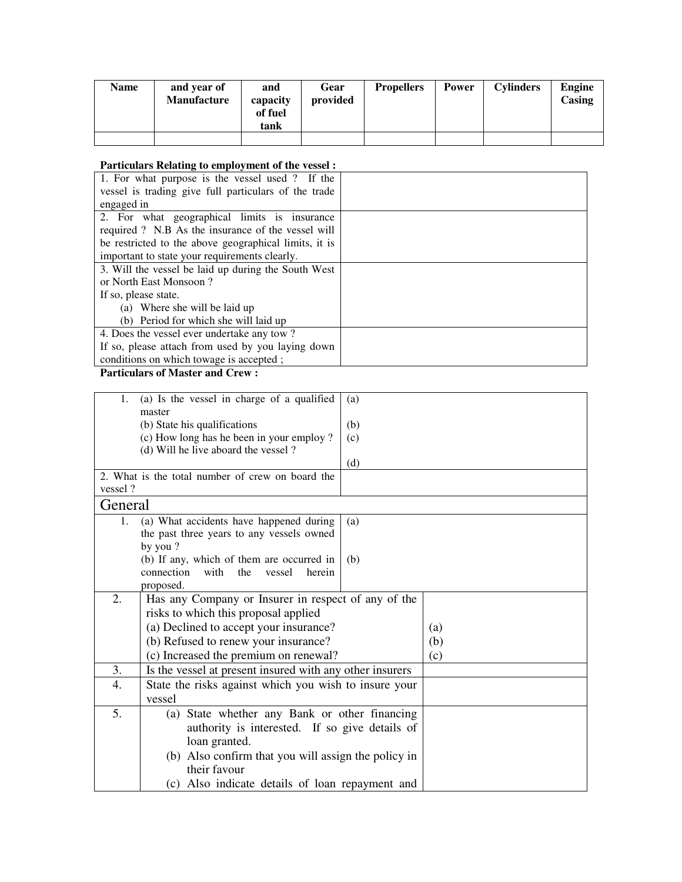| <b>Name</b> | and year of<br><b>Manufacture</b> | and<br>capacity<br>of fuel<br>tank | Gear<br>provided | <b>Propellers</b> | Power | <b>Cylinders</b> | Engine<br>Casing |
|-------------|-----------------------------------|------------------------------------|------------------|-------------------|-------|------------------|------------------|
|             |                                   |                                    |                  |                   |       |                  |                  |

## **Particulars Relating to employment of the vessel :**

| 1. For what purpose is the vessel used ? If the       |  |
|-------------------------------------------------------|--|
| vessel is trading give full particulars of the trade  |  |
| engaged in                                            |  |
| 2. For what geographical limits is insurance          |  |
| required ? N.B As the insurance of the vessel will    |  |
| be restricted to the above geographical limits, it is |  |
| important to state your requirements clearly.         |  |
| 3. Will the vessel be laid up during the South West   |  |
| or North East Monsoon?                                |  |
| If so, please state.                                  |  |
| (a) Where she will be laid up                         |  |
| (b) Period for which she will laid up                 |  |
| 4. Does the vessel ever undertake any tow?            |  |
| If so, please attach from used by you laying down     |  |
| conditions on which towage is accepted;               |  |

### **Particulars of Master and Crew :**

| 1.      | (a) Is the vessel in charge of a qualified                                      | (a)                                             |     |  |
|---------|---------------------------------------------------------------------------------|-------------------------------------------------|-----|--|
|         | master                                                                          |                                                 |     |  |
|         | (b) State his qualifications<br>(b)                                             |                                                 |     |  |
|         | (c) How long has he been in your employ?<br>(d) Will he live aboard the vessel? | (c)                                             |     |  |
|         |                                                                                 | (d)                                             |     |  |
|         | 2. What is the total number of crew on board the                                |                                                 |     |  |
| vessel? |                                                                                 |                                                 |     |  |
| General |                                                                                 |                                                 |     |  |
| 1.      | (a) What accidents have happened during                                         | (a)                                             |     |  |
|         | the past three years to any vessels owned                                       |                                                 |     |  |
|         | by you?                                                                         |                                                 |     |  |
|         | (b) If any, which of them are occurred in                                       | (b)                                             |     |  |
|         | connection<br>with<br>the<br>herein<br>vessel                                   |                                                 |     |  |
|         | proposed.                                                                       |                                                 |     |  |
| 2.      | Has any Company or Insurer in respect of any of the                             |                                                 |     |  |
|         | risks to which this proposal applied                                            |                                                 |     |  |
|         | (a) Declined to accept your insurance?                                          |                                                 | (a) |  |
|         | (b) Refused to renew your insurance?                                            |                                                 | (b) |  |
|         | (c) Increased the premium on renewal?                                           |                                                 | (c) |  |
| 3.      | Is the vessel at present insured with any other insurers                        |                                                 |     |  |
| 4.      | State the risks against which you wish to insure your                           |                                                 |     |  |
|         | vessel                                                                          |                                                 |     |  |
| 5.      | (a) State whether any Bank or other financing                                   |                                                 |     |  |
|         | authority is interested. If so give details of                                  |                                                 |     |  |
|         | loan granted.                                                                   |                                                 |     |  |
|         | (b) Also confirm that you will assign the policy in                             |                                                 |     |  |
|         | their favour                                                                    |                                                 |     |  |
|         |                                                                                 | (c) Also indicate details of loan repayment and |     |  |